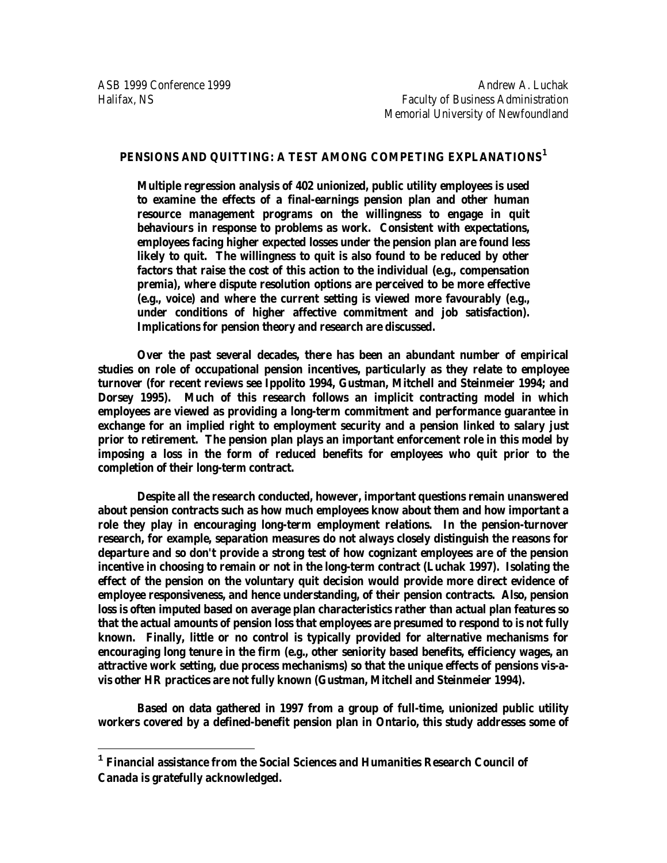$\overline{a}$ 

# **PENSIONS AND QUITTING: A TEST AMONG COMPETING EXPLANATIONS[1](#page-0-0)**

**Multiple regression analysis of 402 unionized, public utility employees is used to examine the effects of a final-earnings pension plan and other human resource management programs on the willingness to engage in quit behaviours in response to problems as work. Consistent with expectations, employees facing higher expected losses under the pension plan are found less likely to quit. The willingness to quit is also found to be reduced by other factors that raise the cost of this action to the individual (e.g., compensation premia), where dispute resolution options are perceived to be more effective (e.g., voice) and where the current setting is viewed more favourably (e.g., under conditions of higher affective commitment and job satisfaction). Implications for pension theory and research are discussed.**

**Over the past several decades, there has been an abundant number of empirical studies on role of occupational pension incentives, particularly as they relate to employee turnover (for recent reviews see Ippolito 1994, Gustman, Mitchell and Steinmeier 1994; and Dorsey 1995). Much of this research follows an implicit contracting model in which employees are viewed as providing a long-term commitment and performance guarantee in exchange for an implied right to employment security and a pension linked to salary just prior to retirement. The pension plan plays an important enforcement role in this model by imposing a loss in the form of reduced benefits for employees who quit prior to the completion of their long-term contract.**

**Despite all the research conducted, however, important questions remain unanswered about pension contracts such as how much employees know about them and how important a role they play in encouraging long-term employment relations. In the pension-turnover research, for example, separation measures do not always closely distinguish the reasons for departure and so don't provide a strong test of how cognizant employees are of the pension incentive in choosing to remain or not in the long-term contract (Luchak 1997). Isolating the effect of the pension on the voluntary quit decision would provide more direct evidence of employee responsiveness, and hence understanding, of their pension contracts. Also, pension loss is often imputed based on average plan characteristics rather than actual plan features so that the actual amounts of pension loss that employees are presumed to respond to is not fully known. Finally, little or no control is typically provided for alternative mechanisms for encouraging long tenure in the firm (e.g., other seniority based benefits, efficiency wages, an attractive work setting, due process mechanisms) so that the unique effects of pensions vis-avis other HR practices are not fully known (Gustman, Mitchell and Steinmeier 1994).**

**Based on data gathered in 1997 from a group of full-time, unionized public utility workers covered by a defined-benefit pension plan in Ontario, this study addresses some of** 

<span id="page-0-0"></span>**<sup>1</sup> Financial assistance from the Social Sciences and Humanities Research Council of Canada is gratefully acknowledged.**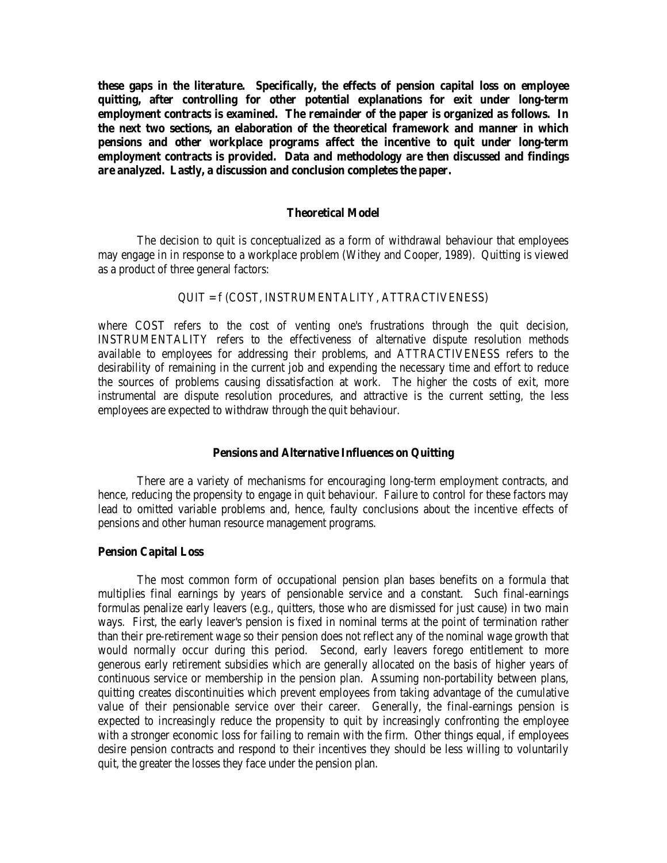**these gaps in the literature. Specifically, the effects of pension capital loss on employee quitting, after controlling for other potential explanations for exit under long-term employment contracts is examined. The remainder of the paper is organized as follows. In the next two sections, an elaboration of the theoretical framework and manner in which pensions and other workplace programs affect the incentive to quit under long-term employment contracts is provided. Data and methodology are then discussed and findings are analyzed. Lastly, a discussion and conclusion completes the paper.**

#### **Theoretical Model**

The decision to quit is conceptualized as a form of withdrawal behaviour that employees may engage in in response to a workplace problem (Withey and Cooper, 1989). Quitting is viewed as a product of three general factors:

# QUIT = f (COST, INSTRUMENTALITY, ATTRACTIVENESS)

where COST refers to the cost of venting one's frustrations through the quit decision, INSTRUMENTALITY refers to the effectiveness of alternative dispute resolution methods available to employees for addressing their problems, and ATTRACTIVENESS refers to the desirability of remaining in the current job and expending the necessary time and effort to reduce the sources of problems causing dissatisfaction at work. The higher the costs of exit, more instrumental are dispute resolution procedures, and attractive is the current setting, the less employees are expected to withdraw through the quit behaviour.

#### **Pensions and Alternative Influences on Quitting**

There are a variety of mechanisms for encouraging long-term employment contracts, and hence, reducing the propensity to engage in quit behaviour. Failure to control for these factors may lead to omitted variable problems and, hence, faulty conclusions about the incentive effects of pensions and other human resource management programs.

#### **Pension Capital Loss**

The most common form of occupational pension plan bases benefits on a formula that multiplies final earnings by years of pensionable service and a constant. Such final-earnings formulas penalize early leavers (e.g., quitters, those who are dismissed for just cause) in two main ways. First, the early leaver's pension is fixed in nominal terms at the point of termination rather than their pre-retirement wage so their pension does not reflect any of the nominal wage growth that would normally occur during this period. Second, early leavers forego entitlement to more generous early retirement subsidies which are generally allocated on the basis of higher years of continuous service or membership in the pension plan. Assuming non-portability between plans, quitting creates discontinuities which prevent employees from taking advantage of the cumulative value of their pensionable service over their career. Generally, the final-earnings pension is expected to increasingly reduce the propensity to quit by increasingly confronting the employee with a stronger economic loss for failing to remain with the firm. Other things equal, if employees desire pension contracts and respond to their incentives they should be less willing to voluntarily quit, the greater the losses they face under the pension plan.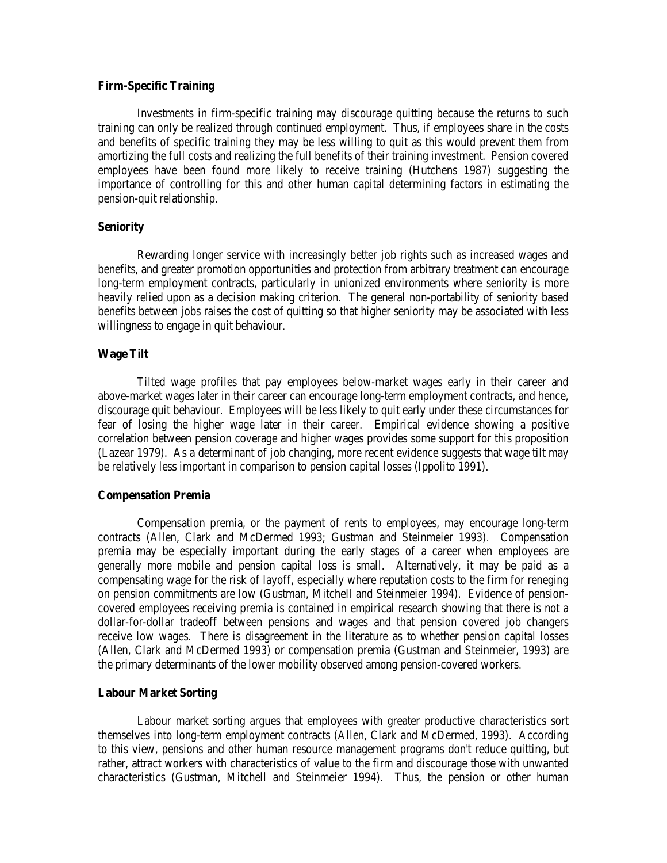# **Firm-Specific Training**

Investments in firm-specific training may discourage quitting because the returns to such training can only be realized through continued employment. Thus, if employees share in the costs and benefits of specific training they may be less willing to quit as this would prevent them from amortizing the full costs and realizing the full benefits of their training investment. Pension covered employees have been found more likely to receive training (Hutchens 1987) suggesting the importance of controlling for this and other human capital determining factors in estimating the pension-quit relationship.

### **Seniority**

Rewarding longer service with increasingly better job rights such as increased wages and benefits, and greater promotion opportunities and protection from arbitrary treatment can encourage long-term employment contracts, particularly in unionized environments where seniority is more heavily relied upon as a decision making criterion. The general non-portability of seniority based benefits between jobs raises the cost of quitting so that higher seniority may be associated with less willingness to engage in quit behaviour.

#### **Wage Tilt**

Tilted wage profiles that pay employees below-market wages early in their career and above-market wages later in their career can encourage long-term employment contracts, and hence, discourage quit behaviour. Employees will be less likely to quit early under these circumstances for fear of losing the higher wage later in their career. Empirical evidence showing a positive correlation between pension coverage and higher wages provides some support for this proposition (Lazear 1979). As a determinant of job changing, more recent evidence suggests that wage tilt may be relatively less important in comparison to pension capital losses (Ippolito 1991).

#### **Compensation Premia**

Compensation premia, or the payment of rents to employees, may encourage long-term contracts (Allen, Clark and McDermed 1993; Gustman and Steinmeier 1993). Compensation premia may be especially important during the early stages of a career when employees are generally more mobile and pension capital loss is small. Alternatively, it may be paid as a compensating wage for the risk of layoff, especially where reputation costs to the firm for reneging on pension commitments are low (Gustman, Mitchell and Steinmeier 1994). Evidence of pensioncovered employees receiving premia is contained in empirical research showing that there is not a dollar-for-dollar tradeoff between pensions and wages and that pension covered job changers receive low wages. There is disagreement in the literature as to whether pension capital losses (Allen, Clark and McDermed 1993) or compensation premia (Gustman and Steinmeier, 1993) are the primary determinants of the lower mobility observed among pension-covered workers.

#### **Labour Market Sorting**

Labour market sorting argues that employees with greater productive characteristics sort themselves into long-term employment contracts (Allen, Clark and McDermed, 1993). According to this view, pensions and other human resource management programs don't reduce quitting, but rather, attract workers with characteristics of value to the firm and discourage those with unwanted characteristics (Gustman, Mitchell and Steinmeier 1994). Thus, the pension or other human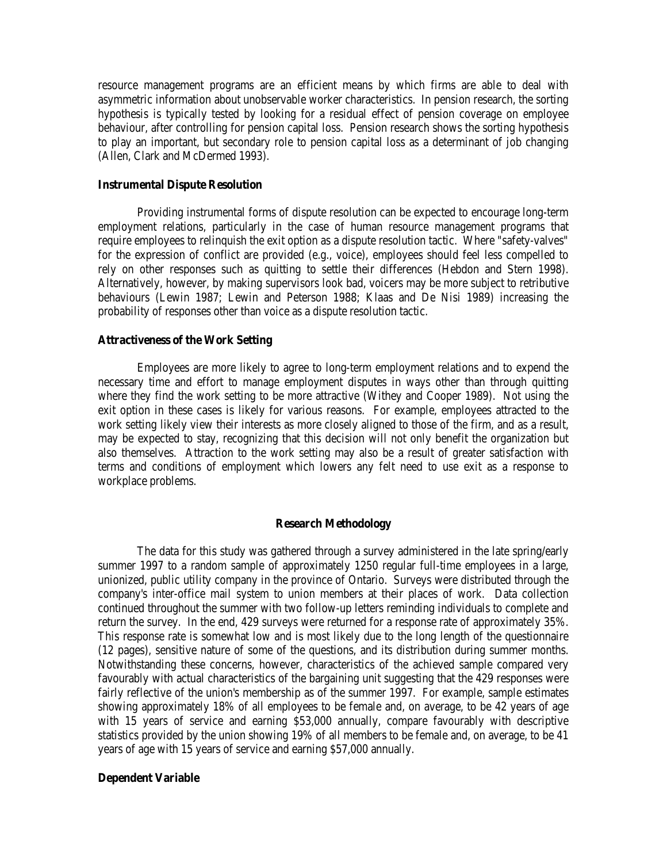resource management programs are an efficient means by which firms are able to deal with asymmetric information about unobservable worker characteristics. In pension research, the sorting hypothesis is typically tested by looking for a residual effect of pension coverage on employee behaviour, after controlling for pension capital loss. Pension research shows the sorting hypothesis to play an important, but secondary role to pension capital loss as a determinant of job changing (Allen, Clark and McDermed 1993).

#### **Instrumental Dispute Resolution**

Providing instrumental forms of dispute resolution can be expected to encourage long-term employment relations, particularly in the case of human resource management programs that require employees to relinquish the exit option as a dispute resolution tactic. Where "safety-valves" for the expression of conflict are provided (e.g., voice), employees should feel less compelled to rely on other responses such as quitting to settle their differences (Hebdon and Stern 1998). Alternatively, however, by making supervisors look bad, voicers may be more subject to retributive behaviours (Lewin 1987; Lewin and Peterson 1988; Klaas and De Nisi 1989) increasing the probability of responses other than voice as a dispute resolution tactic.

### **Attractiveness of the Work Setting**

Employees are more likely to agree to long-term employment relations and to expend the necessary time and effort to manage employment disputes in ways other than through quitting where they find the work setting to be more attractive (Withey and Cooper 1989). Not using the exit option in these cases is likely for various reasons. For example, employees attracted to the work setting likely view their interests as more closely aligned to those of the firm, and as a result, may be expected to stay, recognizing that this decision will not only benefit the organization but also themselves. Attraction to the work setting may also be a result of greater satisfaction with terms and conditions of employment which lowers any felt need to use exit as a response to workplace problems.

# **Research Methodology**

The data for this study was gathered through a survey administered in the late spring/early summer 1997 to a random sample of approximately 1250 regular full-time employees in a large, unionized, public utility company in the province of Ontario. Surveys were distributed through the company's inter-office mail system to union members at their places of work. Data collection continued throughout the summer with two follow-up letters reminding individuals to complete and return the survey. In the end, 429 surveys were returned for a response rate of approximately 35%. This response rate is somewhat low and is most likely due to the long length of the questionnaire (12 pages), sensitive nature of some of the questions, and its distribution during summer months. Notwithstanding these concerns, however, characteristics of the achieved sample compared very favourably with actual characteristics of the bargaining unit suggesting that the 429 responses were fairly reflective of the union's membership as of the summer 1997. For example, sample estimates showing approximately 18% of all employees to be female and, on average, to be 42 years of age with 15 years of service and earning \$53,000 annually, compare favourably with descriptive statistics provided by the union showing 19% of all members to be female and, on average, to be 41 years of age with 15 years of service and earning \$57,000 annually.

#### **Dependent Variable**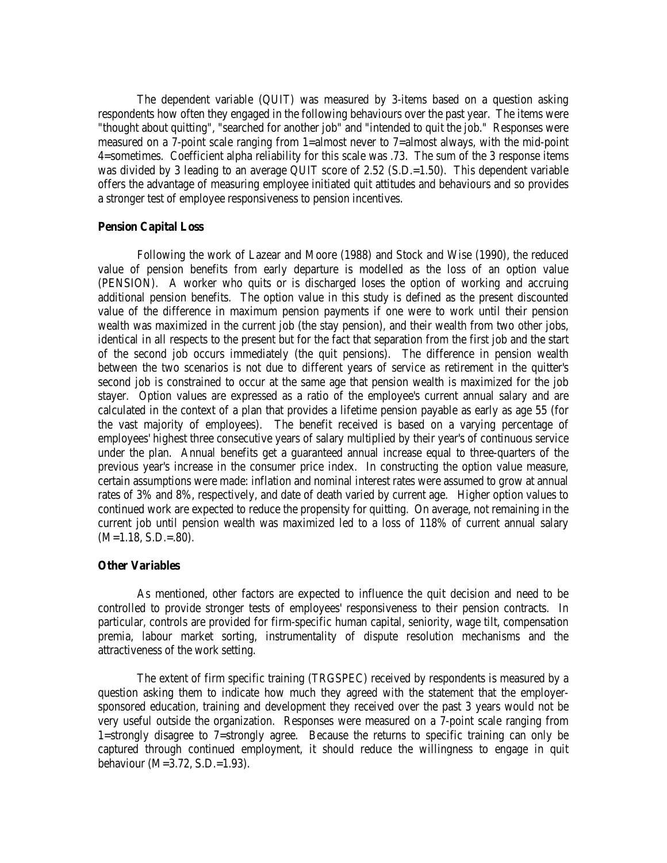The dependent variable (QUIT) was measured by 3-items based on a question asking respondents how often they engaged in the following behaviours over the past year. The items were "thought about quitting", "searched for another job" and "intended to quit the job." Responses were measured on a 7-point scale ranging from 1=almost never to 7=almost always, with the mid-point 4=sometimes. Coefficient alpha reliability for this scale was .73. The sum of the 3 response items was divided by 3 leading to an average QUIT score of 2.52 (S.D.=1.50). This dependent variable offers the advantage of measuring employee initiated quit attitudes and behaviours and so provides a stronger test of employee responsiveness to pension incentives.

#### **Pension Capital Loss**

Following the work of Lazear and Moore (1988) and Stock and Wise (1990), the reduced value of pension benefits from early departure is modelled as the loss of an option value (PENSION). A worker who quits or is discharged loses the option of working and accruing additional pension benefits. The option value in this study is defined as the present discounted value of the difference in maximum pension payments if one were to work until their pension wealth was maximized in the current job (the stay pension), and their wealth from two other jobs, identical in all respects to the present but for the fact that separation from the first job and the start of the second job occurs immediately (the quit pensions). The difference in pension wealth between the two scenarios is not due to different years of service as retirement in the quitter's second job is constrained to occur at the same age that pension wealth is maximized for the job stayer. Option values are expressed as a ratio of the employee's current annual salary and are calculated in the context of a plan that provides a lifetime pension payable as early as age 55 (for the vast majority of employees). The benefit received is based on a varying percentage of employees' highest three consecutive years of salary multiplied by their year's of continuous service under the plan. Annual benefits get a guaranteed annual increase equal to three-quarters of the previous year's increase in the consumer price index. In constructing the option value measure, certain assumptions were made: inflation and nominal interest rates were assumed to grow at annual rates of 3% and 8%, respectively, and date of death varied by current age. Higher option values to continued work are expected to reduce the propensity for quitting. On average, not remaining in the current job until pension wealth was maximized led to a loss of 118% of current annual salary  $(M=1.18, S.D.=.80).$ 

### **Other Variables**

As mentioned, other factors are expected to influence the quit decision and need to be controlled to provide stronger tests of employees' responsiveness to their pension contracts. In particular, controls are provided for firm-specific human capital, seniority, wage tilt, compensation premia, labour market sorting, instrumentality of dispute resolution mechanisms and the attractiveness of the work setting.

The extent of firm specific training (TRGSPEC) received by respondents is measured by a question asking them to indicate how much they agreed with the statement that the employersponsored education, training and development they received over the past 3 years would not be very useful outside the organization. Responses were measured on a 7-point scale ranging from 1=strongly disagree to 7=strongly agree. Because the returns to specific training can only be captured through continued employment, it should reduce the willingness to engage in quit behaviour (M=3.72, S.D.=1.93).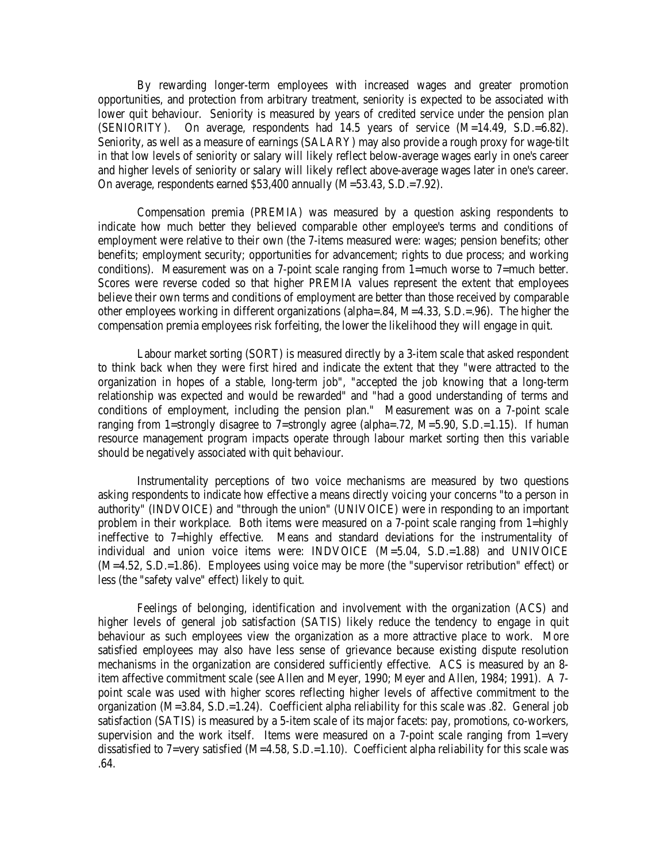By rewarding longer-term employees with increased wages and greater promotion opportunities, and protection from arbitrary treatment, seniority is expected to be associated with lower quit behaviour. Seniority is measured by years of credited service under the pension plan (SENIORITY). On average, respondents had 14.5 years of service (M=14.49, S.D.=6.82). Seniority, as well as a measure of earnings (SALARY) may also provide a rough proxy for wage-tilt in that low levels of seniority or salary will likely reflect below-average wages early in one's career and higher levels of seniority or salary will likely reflect above-average wages later in one's career. On average, respondents earned \$53,400 annually (M=53.43, S.D.=7.92).

Compensation premia (PREMIA) was measured by a question asking respondents to indicate how much better they believed comparable other employee's terms and conditions of employment were relative to their own (the 7-items measured were: wages; pension benefits; other benefits; employment security; opportunities for advancement; rights to due process; and working conditions). Measurement was on a 7-point scale ranging from 1=much worse to 7=much better. Scores were reverse coded so that higher PREMIA values represent the extent that employees believe their own terms and conditions of employment are better than those received by comparable other employees working in different organizations (alpha=.84, M=4.33, S.D.=.96). The higher the compensation premia employees risk forfeiting, the lower the likelihood they will engage in quit.

Labour market sorting (SORT) is measured directly by a 3-item scale that asked respondent to think back when they were first hired and indicate the extent that they "were attracted to the organization in hopes of a stable, long-term job", "accepted the job knowing that a long-term relationship was expected and would be rewarded" and "had a good understanding of terms and conditions of employment, including the pension plan." Measurement was on a 7-point scale ranging from 1=strongly disagree to 7=strongly agree (alpha=.72,  $M=5.90$ , S.D.=1.15). If human resource management program impacts operate through labour market sorting then this variable should be negatively associated with quit behaviour.

Instrumentality perceptions of two voice mechanisms are measured by two questions asking respondents to indicate how effective a means directly voicing your concerns "to a person in authority" (INDVOICE) and "through the union" (UNIVOICE) were in responding to an important problem in their workplace. Both items were measured on a 7-point scale ranging from 1=highly ineffective to 7=highly effective. Means and standard deviations for the instrumentality of individual and union voice items were: INDVOICE (M=5.04, S.D.=1.88) and UNIVOICE (M=4.52, S.D.=1.86). Employees using voice may be more (the "supervisor retribution" effect) or less (the "safety valve" effect) likely to quit.

Feelings of belonging, identification and involvement with the organization (ACS) and higher levels of general job satisfaction (SATIS) likely reduce the tendency to engage in quit behaviour as such employees view the organization as a more attractive place to work. More satisfied employees may also have less sense of grievance because existing dispute resolution mechanisms in the organization are considered sufficiently effective. ACS is measured by an 8 item affective commitment scale (see Allen and Meyer, 1990; Meyer and Allen, 1984; 1991). A 7 point scale was used with higher scores reflecting higher levels of affective commitment to the organization (M=3.84, S.D.=1.24). Coefficient alpha reliability for this scale was .82. General job satisfaction (SATIS) is measured by a 5-item scale of its major facets: pay, promotions, co-workers, supervision and the work itself. Items were measured on a 7-point scale ranging from  $1$ =very dissatisfied to 7=very satisfied (M=4.58, S.D.=1.10). Coefficient alpha reliability for this scale was .64.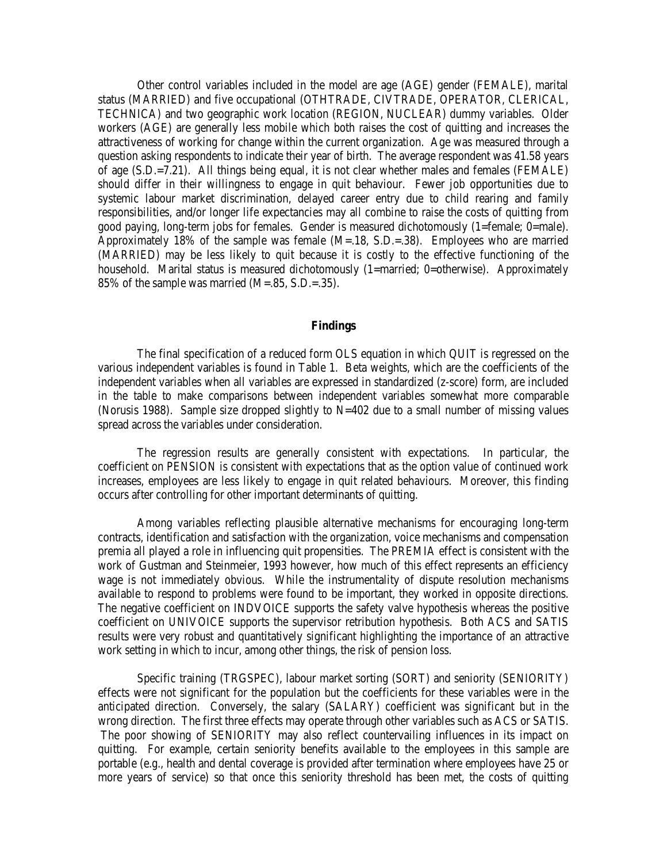Other control variables included in the model are age (AGE) gender (FEMALE), marital status (MARRIED) and five occupational (OTHTRADE, CIVTRADE, OPERATOR, CLERICAL, TECHNICA) and two geographic work location (REGION, NUCLEAR) dummy variables. Older workers (AGE) are generally less mobile which both raises the cost of quitting and increases the attractiveness of working for change within the current organization. Age was measured through a question asking respondents to indicate their year of birth. The average respondent was 41.58 years of age (S.D.=7.21). All things being equal, it is not clear whether males and females (FEMALE) should differ in their willingness to engage in quit behaviour. Fewer job opportunities due to systemic labour market discrimination, delayed career entry due to child rearing and family responsibilities, and/or longer life expectancies may all combine to raise the costs of quitting from good paying, long-term jobs for females. Gender is measured dichotomously (1=female; 0=male). Approximately 18% of the sample was female (M=.18, S.D.=.38). Employees who are married (MARRIED) may be less likely to quit because it is costly to the effective functioning of the household. Marital status is measured dichotomously (1=married; 0=otherwise). Approximately 85% of the sample was married (M=.85, S.D.=.35).

#### **Findings**

The final specification of a reduced form OLS equation in which QUIT is regressed on the various independent variables is found in Table 1. Beta weights, which are the coefficients of the independent variables when all variables are expressed in standardized (z-score) form, are included in the table to make comparisons between independent variables somewhat more comparable (Norusis 1988). Sample size dropped slightly to N=402 due to a small number of missing values spread across the variables under consideration.

The regression results are generally consistent with expectations. In particular, the coefficient on PENSION is consistent with expectations that as the option value of continued work increases, employees are less likely to engage in quit related behaviours. Moreover, this finding occurs after controlling for other important determinants of quitting.

Among variables reflecting plausible alternative mechanisms for encouraging long-term contracts, identification and satisfaction with the organization, voice mechanisms and compensation premia all played a role in influencing quit propensities. The PREMIA effect is consistent with the work of Gustman and Steinmeier, 1993 however, how much of this effect represents an efficiency wage is not immediately obvious. While the instrumentality of dispute resolution mechanisms available to respond to problems were found to be important, they worked in opposite directions. The negative coefficient on INDVOICE supports the safety valve hypothesis whereas the positive coefficient on UNIVOICE supports the supervisor retribution hypothesis. Both ACS and SATIS results were very robust and quantitatively significant highlighting the importance of an attractive work setting in which to incur, among other things, the risk of pension loss.

Specific training (TRGSPEC), labour market sorting (SORT) and seniority (SENIORITY) effects were not significant for the population but the coefficients for these variables were in the anticipated direction. Conversely, the salary (SALARY) coefficient was significant but in the wrong direction. The first three effects may operate through other variables such as ACS or SATIS. The poor showing of SENIORITY may also reflect countervailing influences in its impact on quitting. For example, certain seniority benefits available to the employees in this sample are portable (e.g., health and dental coverage is provided after termination where employees have 25 or more years of service) so that once this seniority threshold has been met, the costs of quitting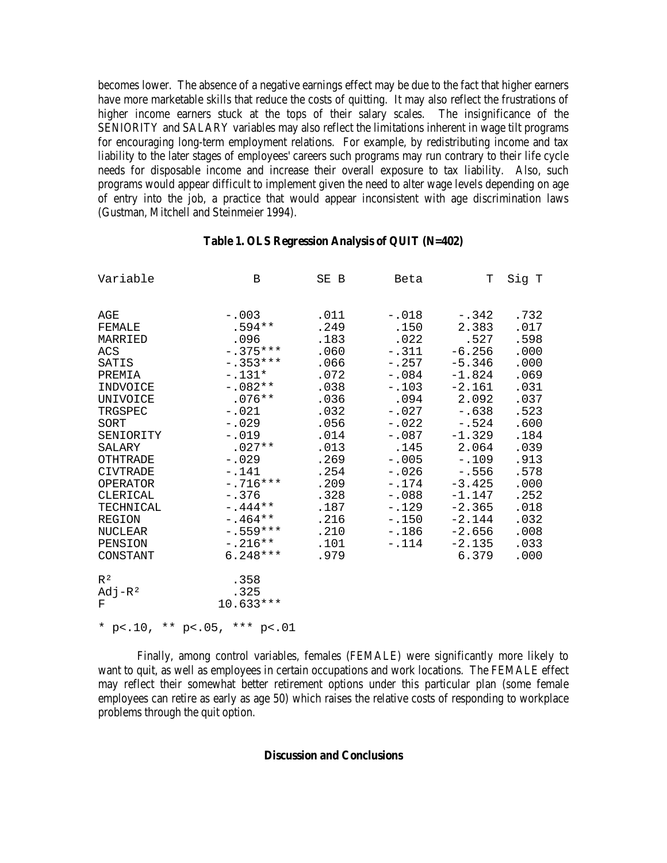becomes lower. The absence of a negative earnings effect may be due to the fact that higher earners have more marketable skills that reduce the costs of quitting. It may also reflect the frustrations of higher income earners stuck at the tops of their salary scales. The insignificance of the SENIORITY and SALARY variables may also reflect the limitations inherent in wage tilt programs for encouraging long-term employment relations. For example, by redistributing income and tax liability to the later stages of employees' careers such programs may run contrary to their life cycle needs for disposable income and increase their overall exposure to tax liability. Also, such programs would appear difficult to implement given the need to alter wage levels depending on age of entry into the job, a practice that would appear inconsistent with age discrimination laws (Gustman, Mitchell and Steinmeier 1994).

| Variable                                                                                                                                                                                                                                                                                            | B                                                                                                                                                                                                                                                                                          | SE B                                                                                                                                                                 | Beta                                                                                                                                                                                                          | Т                                                                                                                                                                                                                                   | Sig T                                                                                                                                                                |
|-----------------------------------------------------------------------------------------------------------------------------------------------------------------------------------------------------------------------------------------------------------------------------------------------------|--------------------------------------------------------------------------------------------------------------------------------------------------------------------------------------------------------------------------------------------------------------------------------------------|----------------------------------------------------------------------------------------------------------------------------------------------------------------------|---------------------------------------------------------------------------------------------------------------------------------------------------------------------------------------------------------------|-------------------------------------------------------------------------------------------------------------------------------------------------------------------------------------------------------------------------------------|----------------------------------------------------------------------------------------------------------------------------------------------------------------------|
| AGE<br>FEMALE<br>MARRIED<br>ACS<br>SATIS<br>PREMIA<br>INDVOICE<br>UNIVOICE<br>TRGSPEC<br>SORT<br>SENIORITY<br>SALARY<br><b>OTHTRADE</b><br><b>CIVTRADE</b><br><b>OPERATOR</b><br>CLERICAL<br>TECHNICAL<br><b>REGION</b><br><b>NUCLEAR</b><br>PENSION<br>CONSTANT<br>R <sup>2</sup><br>$Adj-R2$<br>F | $-.003$<br>$.594**$<br>.096<br>$-.375***$<br>$-.353***$<br>$-.131*$<br>$-.082**$<br>$.076**$<br>$-.021$<br>$-.029$<br>$-.019$<br>$.027**$<br>$-.029$<br>$-.141$<br>$-.716***$<br>$-.376$<br>$-.444**$<br>$-.464**$<br>$-.559***$<br>$-.216**$<br>$6.248***$<br>.358<br>.325<br>$10.633***$ | .011<br>.249<br>.183<br>.060<br>.066<br>.072<br>.038<br>.036<br>.032<br>.056<br>.014<br>.013<br>.269<br>.254<br>.209<br>.328<br>.187<br>.216<br>.210<br>.101<br>.979 | $-.018$<br>.150<br>.022<br>$-.311$<br>$-0.257$<br>$-.084$<br>$-.103$<br>.094<br>$-.027$<br>$-.022$<br>$-.087$<br>.145<br>$-.005$<br>$-.026$<br>$-.174$<br>$-.088$<br>$-.129$<br>$-.150$<br>$-.186$<br>$-.114$ | $-.342$<br>2.383<br>.527<br>$-6.256$<br>$-5.346$<br>$-1.824$<br>$-2.161$<br>2.092<br>$-.638$<br>$-.524$<br>$-1.329$<br>2.064<br>$-.109$<br>$-.556$<br>$-3.425$<br>$-1.147$<br>$-2.365$<br>$-2.144$<br>$-2.656$<br>$-2.135$<br>6.379 | .732<br>.017<br>.598<br>.000<br>.000<br>.069<br>.031<br>.037<br>.523<br>.600<br>.184<br>.039<br>.913<br>.578<br>.000<br>.252<br>.018<br>.032<br>.008<br>.033<br>.000 |
|                                                                                                                                                                                                                                                                                                     | * p <. 10, ** p <. 05, *** p <. 01                                                                                                                                                                                                                                                         |                                                                                                                                                                      |                                                                                                                                                                                                               |                                                                                                                                                                                                                                     |                                                                                                                                                                      |

#### **Table 1. OLS Regression Analysis of QUIT (N=402)**

Finally, among control variables, females (FEMALE) were significantly more likely to want to quit, as well as employees in certain occupations and work locations. The FEMALE effect may reflect their somewhat better retirement options under this particular plan (some female employees can retire as early as age 50) which raises the relative costs of responding to workplace problems through the quit option.

# **Discussion and Conclusions**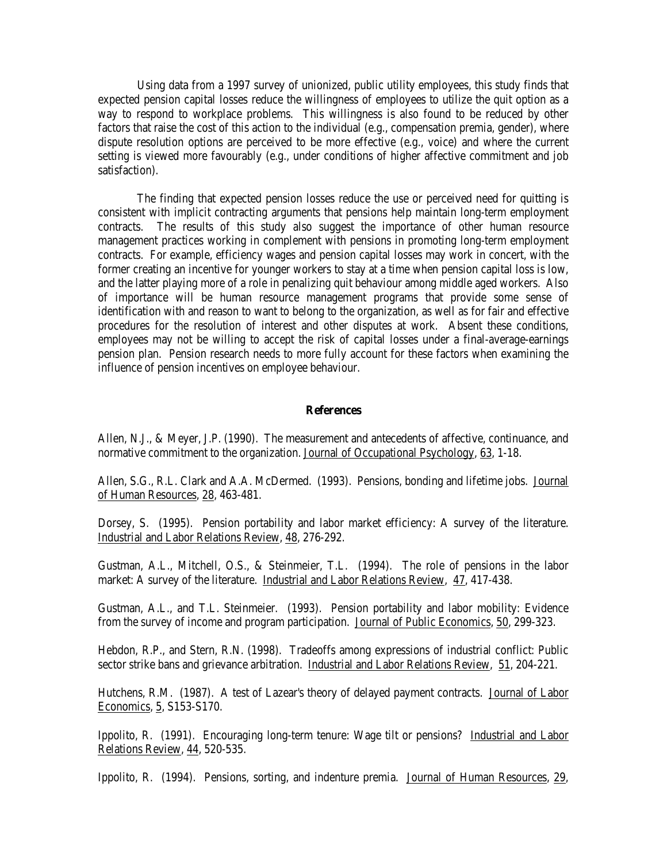Using data from a 1997 survey of unionized, public utility employees, this study finds that expected pension capital losses reduce the willingness of employees to utilize the quit option as a way to respond to workplace problems. This willingness is also found to be reduced by other factors that raise the cost of this action to the individual (e.g., compensation premia, gender), where dispute resolution options are perceived to be more effective (e.g., voice) and where the current setting is viewed more favourably (e.g., under conditions of higher affective commitment and job satisfaction).

The finding that expected pension losses reduce the use or perceived need for quitting is consistent with implicit contracting arguments that pensions help maintain long-term employment contracts. The results of this study also suggest the importance of other human resource management practices working in complement with pensions in promoting long-term employment contracts. For example, efficiency wages and pension capital losses may work in concert, with the former creating an incentive for younger workers to stay at a time when pension capital loss is low, and the latter playing more of a role in penalizing quit behaviour among middle aged workers. Also of importance will be human resource management programs that provide some sense of identification with and reason to want to belong to the organization, as well as for fair and effective procedures for the resolution of interest and other disputes at work. Absent these conditions, employees may not be willing to accept the risk of capital losses under a final-average-earnings pension plan. Pension research needs to more fully account for these factors when examining the influence of pension incentives on employee behaviour.

#### **References**

Allen, N.J., & Meyer, J.P. (1990). The measurement and antecedents of affective, continuance, and normative commitment to the organization. Journal of Occupational Psychology, 63, 1-18.

Allen, S.G., R.L. Clark and A.A. McDermed. (1993). Pensions, bonding and lifetime jobs. Journal of Human Resources, 28, 463-481.

Dorsey, S. (1995). Pension portability and labor market efficiency: A survey of the literature. Industrial and Labor Relations Review, 48, 276-292.

Gustman, A.L., Mitchell, O.S., & Steinmeier, T.L. (1994). The role of pensions in the labor market: A survey of the literature. Industrial and Labor Relations Review, 47, 417-438.

Gustman, A.L., and T.L. Steinmeier. (1993). Pension portability and labor mobility: Evidence from the survey of income and program participation. Journal of Public Economics, 50, 299-323.

Hebdon, R.P., and Stern, R.N. (1998). Tradeoffs among expressions of industrial conflict: Public sector strike bans and grievance arbitration. Industrial and Labor Relations Review, 51, 204-221.

Hutchens, R.M. (1987). A test of Lazear's theory of delayed payment contracts. Journal of Labor Economics, 5, S153-S170.

Ippolito, R. (1991). Encouraging long-term tenure: Wage tilt or pensions? Industrial and Labor Relations Review, 44, 520-535.

Ippolito, R. (1994). Pensions, sorting, and indenture premia. Journal of Human Resources, 29,